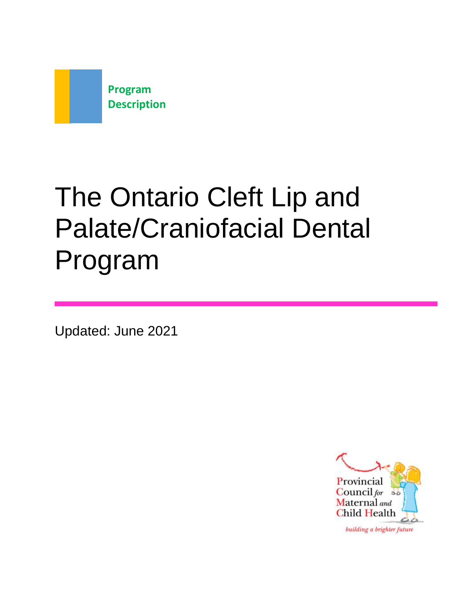

# The Ontario Cleft Lip and Palate/Craniofacial Dental Program

Updated: June 2021

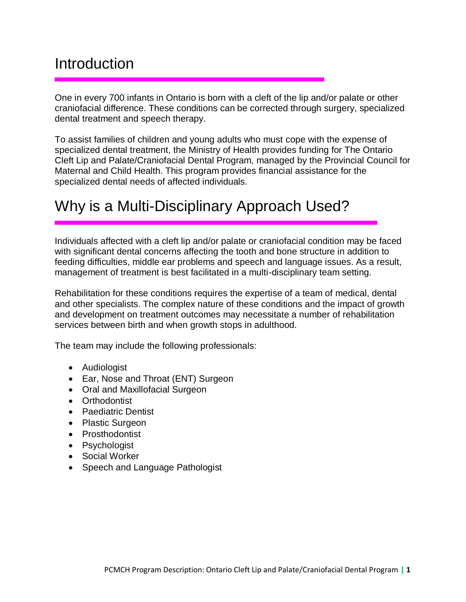#### **Introduction**

One in every 700 infants in Ontario is born with a cleft of the lip and/or palate or other craniofacial difference. These conditions can be corrected through surgery, specialized dental treatment and speech therapy.

To assist families of children and young adults who must cope with the expense of specialized dental treatment, the Ministry of Health provides funding for The Ontario Cleft Lip and Palate/Craniofacial Dental Program, managed by the Provincial Council for Maternal and Child Health. This program provides financial assistance for the specialized dental needs of affected individuals.

# Why is a Multi-Disciplinary Approach Used?

Individuals affected with a cleft lip and/or palate or craniofacial condition may be faced with significant dental concerns affecting the tooth and bone structure in addition to feeding difficulties, middle ear problems and speech and language issues. As a result, management of treatment is best facilitated in a multi-disciplinary team setting.

Rehabilitation for these conditions requires the expertise of a team of medical, dental and other specialists. The complex nature of these conditions and the impact of growth and development on treatment outcomes may necessitate a number of rehabilitation services between birth and when growth stops in adulthood.

The team may include the following professionals:

- Audiologist
- Ear, Nose and Throat (ENT) Surgeon
- Oral and Maxillofacial Surgeon
- Orthodontist
- Paediatric Dentist
- Plastic Surgeon
- Prosthodontist
- Psychologist
- Social Worker
- Speech and Language Pathologist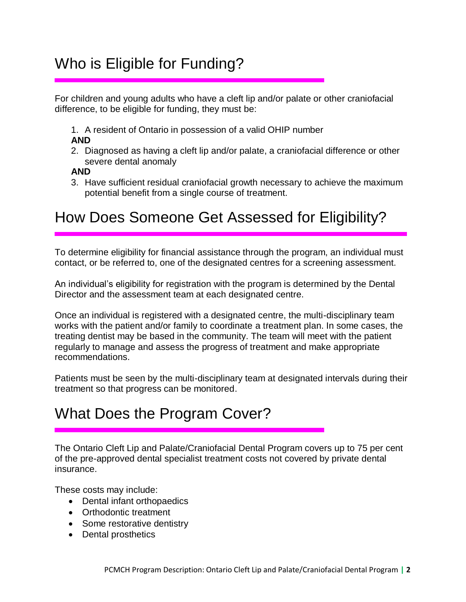# Who is Eligible for Funding?

For children and young adults who have a cleft lip and/or palate or other craniofacial difference, to be eligible for funding, they must be:

1. A resident of Ontario in possession of a valid OHIP number

#### **AND**

2. Diagnosed as having a cleft lip and/or palate, a craniofacial difference or other severe dental anomaly

#### **AND**

3. Have sufficient residual craniofacial growth necessary to achieve the maximum potential benefit from a single course of treatment.

# How Does Someone Get Assessed for Eligibility?

To determine eligibility for financial assistance through the program, an individual must contact, or be referred to, one of the designated centres for a screening assessment.

An individual's eligibility for registration with the program is determined by the Dental Director and the assessment team at each designated centre.

Once an individual is registered with a designated centre, the multi-disciplinary team works with the patient and/or family to coordinate a treatment plan. In some cases, the treating dentist may be based in the community. The team will meet with the patient regularly to manage and assess the progress of treatment and make appropriate recommendations.

Patients must be seen by the multi-disciplinary team at designated intervals during their treatment so that progress can be monitored.

## What Does the Program Cover?

The Ontario Cleft Lip and Palate/Craniofacial Dental Program covers up to 75 per cent of the pre-approved dental specialist treatment costs not covered by private dental insurance.

These costs may include:

- Dental infant orthopaedics
- Orthodontic treatment
- Some restorative dentistry
- Dental prosthetics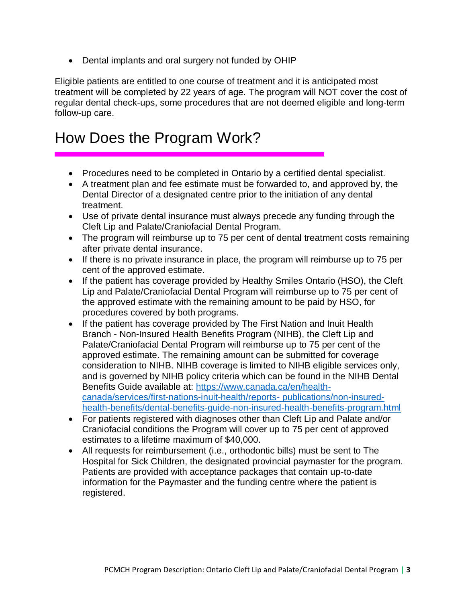• Dental implants and oral surgery not funded by OHIP

Eligible patients are entitled to one course of treatment and it is anticipated most treatment will be completed by 22 years of age. The program will NOT cover the cost of regular dental check-ups, some procedures that are not deemed eligible and long-term follow-up care.

### How Does the Program Work?

- Procedures need to be completed in Ontario by a certified dental specialist.
- A treatment plan and fee estimate must be forwarded to, and approved by, the Dental Director of a designated centre prior to the initiation of any dental treatment.
- Use of private dental insurance must always precede any funding through the Cleft Lip and Palate/Craniofacial Dental Program.
- The program will reimburse up to 75 per cent of dental treatment costs remaining after private dental insurance.
- If there is no private insurance in place, the program will reimburse up to 75 per cent of the approved estimate.
- If the patient has coverage provided by Healthy Smiles Ontario (HSO), the Cleft Lip and Palate/Craniofacial Dental Program will reimburse up to 75 per cent of the approved estimate with the remaining amount to be paid by HSO, for procedures covered by both programs.
- If the patient has coverage provided by The First Nation and Inuit Health Branch - Non-Insured Health Benefits Program (NIHB), the Cleft Lip and Palate/Craniofacial Dental Program will reimburse up to 75 per cent of the approved estimate. The remaining amount can be submitted for coverage consideration to NIHB. NIHB coverage is limited to NIHB eligible services only, and is governed by NIHB policy criteria which can be found in the NIHB Dental Benefits Guide available at: [https://www.canada.ca/en/health](https://www.canada.ca/en/health-canada/services/first-nations-inuit-health/reports-publications/non-insured-health-benefits/dental-benefits-guide-non-insured-health-benefits-program.html)[canada/services/first-nations-inuit-health/reports-](https://www.canada.ca/en/health-canada/services/first-nations-inuit-health/reports-publications/non-insured-health-benefits/dental-benefits-guide-non-insured-health-benefits-program.html) [publications/non-insured](https://www.canada.ca/en/health-canada/services/first-nations-inuit-health/reports-publications/non-insured-health-benefits/dental-benefits-guide-non-insured-health-benefits-program.html)[health-benefits/dental-benefits-guide-non-insured-health-benefits-program.html](https://www.canada.ca/en/health-canada/services/first-nations-inuit-health/reports-publications/non-insured-health-benefits/dental-benefits-guide-non-insured-health-benefits-program.html)
- For patients registered with diagnoses other than Cleft Lip and Palate and/or Craniofacial conditions the Program will cover up to 75 per cent of approved estimates to a lifetime maximum of \$40,000.
- All requests for reimbursement (i.e., orthodontic bills) must be sent to The Hospital for Sick Children, the designated provincial paymaster for the program. Patients are provided with acceptance packages that contain up-to-date information for the Paymaster and the funding centre where the patient is registered.